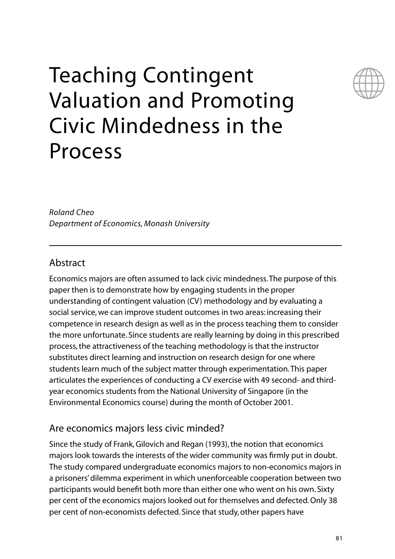

# Teaching Contingent Valuation and Promoting Civic Mindedness in the Process

*Roland Cheo Department of Economics, Monash University*

#### Abstract

Economics majors are often assumed to lack civic mindedness.The purpose of this paper then is to demonstrate how by engaging students in the proper understanding of contingent valuation (CV) methodology and by evaluating a social service, we can improve student outcomes in two areas: increasing their competence in research design as well as in the process teaching them to consider the more unfortunate. Since students are really learning by doing in this prescribed process, the attractiveness of the teaching methodology is that the instructor substitutes direct learning and instruction on research design for one where students learn much of the subject matter through experimentation.This paper articulates the experiences of conducting a CV exercise with 49 second- and thirdyear economics students from the National University of Singapore (in the Environmental Economics course) during the month of October 2001.

# Are economics majors less civic minded?

Since the study of Frank, Gilovich and Regan (1993), the notion that economics majors look towards the interests of the wider community was firmly put in doubt. The study compared undergraduate economics majors to non-economics majors in a prisoners'dilemma experiment in which unenforceable cooperation between two participants would benefit both more than either one who went on his own. Sixty per cent of the economics majors looked out for themselves and defected. Only 38 per cent of non-economists defected. Since that study, other papers have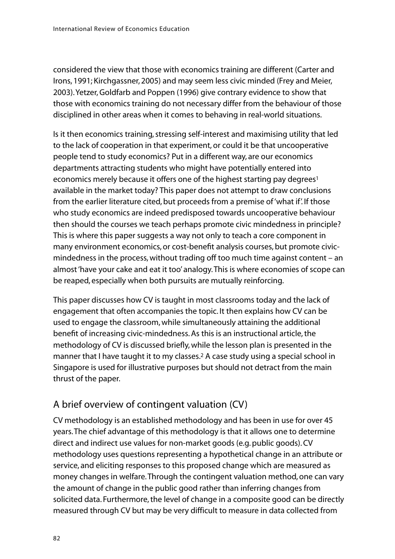considered the view that those with economics training are different (Carter and Irons, 1991; Kirchgassner, 2005) and may seem less civic minded (Frey and Meier, 2003).Yetzer, Goldfarb and Poppen (1996) give contrary evidence to show that those with economics training do not necessary differ from the behaviour of those disciplined in other areas when it comes to behaving in real-world situations.

Is it then economics training, stressing self-interest and maximising utility that led to the lack of cooperation in that experiment, or could it be that uncooperative people tend to study economics? Put in a different way, are our economics departments attracting students who might have potentially entered into economics merely because it offers one of the highest starting pay degrees<sup>1</sup> available in the market today? This paper does not attempt to draw conclusions from the earlier literature cited, but proceeds from a premise of 'what if'. If those who study economics are indeed predisposed towards uncooperative behaviour then should the courses we teach perhaps promote civic mindedness in principle? This is where this paper suggests a way not only to teach a core component in many environment economics, or cost-benefit analysis courses, but promote civicmindedness in the process, without trading off too much time against content – an almost 'have your cake and eat it too' analogy.This is where economies of scope can be reaped, especially when both pursuits are mutually reinforcing.

This paper discusses how CV is taught in most classrooms today and the lack of engagement that often accompanies the topic. It then explains how CV can be used to engage the classroom, while simultaneously attaining the additional benefit of increasing civic-mindedness. As this is an instructional article, the methodology of CV is discussed briefly, while the lesson plan is presented in the manner that I have taught it to my classes.2 A case study using a special school in Singapore is used for illustrative purposes but should not detract from the main thrust of the paper.

# A brief overview of contingent valuation (CV)

CV methodology is an established methodology and has been in use for over 45 years.The chief advantage of this methodology is that it allows one to determine direct and indirect use values for non-market goods (e.g. public goods). CV methodology uses questions representing a hypothetical change in an attribute or service, and eliciting responses to this proposed change which are measured as money changes in welfare.Through the contingent valuation method, one can vary the amount of change in the public good rather than inferring changes from solicited data. Furthermore, the level of change in a composite good can be directly measured through CV but may be very difficult to measure in data collected from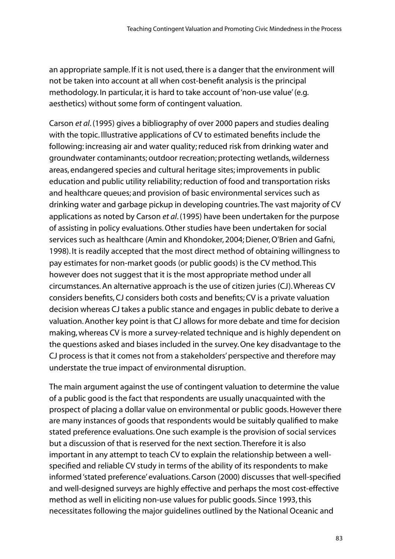an appropriate sample. If it is not used, there is a danger that the environment will not be taken into account at all when cost-benefit analysis is the principal methodology. In particular, it is hard to take account of 'non-use value' (e.g. aesthetics) without some form of contingent valuation.

Carson *et al*. (1995) gives a bibliography of over 2000 papers and studies dealing with the topic. Illustrative applications of CV to estimated benefits include the following: increasing air and water quality; reduced risk from drinking water and groundwater contaminants; outdoor recreation; protecting wetlands, wilderness areas, endangered species and cultural heritage sites; improvements in public education and public utility reliability; reduction of food and transportation risks and healthcare queues; and provision of basic environmental services such as drinking water and garbage pickup in developing countries.The vast majority of CV applications as noted by Carson *et al*. (1995) have been undertaken for the purpose of assisting in policy evaluations. Other studies have been undertaken for social services such as healthcare (Amin and Khondoker, 2004; Diener, O'Brien and Gafni, 1998). It is readily accepted that the most direct method of obtaining willingness to pay estimates for non-market goods (or public goods) is the CV method.This however does not suggest that it is the most appropriate method under all circumstances. An alternative approach is the use of citizen juries (CJ).Whereas CV considers benefits, CJ considers both costs and benefits; CV is a private valuation decision whereas CJ takes a public stance and engages in public debate to derive a valuation. Another key point is that CJ allows for more debate and time for decision making,whereas CV is more a survey-related technique and is highly dependent on the questions asked and biases included in the survey. One key disadvantage to the CJ process is that it comes not from a stakeholders' perspective and therefore may understate the true impact of environmental disruption.

The main argument against the use of contingent valuation to determine the value of a public good is the fact that respondents are usually unacquainted with the prospect of placing a dollar value on environmental or public goods. However there are many instances of goods that respondents would be suitably qualified to make stated preference evaluations. One such example is the provision of social services but a discussion of that is reserved for the next section.Therefore it is also important in any attempt to teach CV to explain the relationship between a wellspecified and reliable CV study in terms of the ability of its respondents to make informed 'stated preference' evaluations. Carson (2000) discusses that well-specified and well-designed surveys are highly effective and perhaps the most cost-effective method as well in eliciting non-use values for public goods. Since 1993, this necessitates following the major guidelines outlined by the National Oceanic and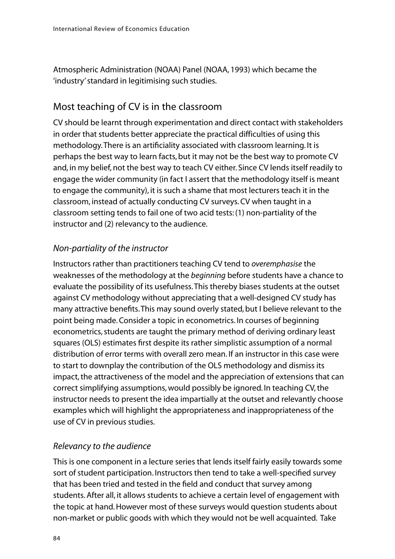Atmospheric Administration (NOAA) Panel (NOAA, 1993) which became the 'industry' standard in legitimising such studies.

# Most teaching of CV is in the classroom

CV should be learnt through experimentation and direct contact with stakeholders in order that students better appreciate the practical difficulties of using this methodology.There is an artificiality associated with classroom learning. It is perhaps the best way to learn facts, but it may not be the best way to promote CV and, in my belief, not the best way to teach CV either. Since CV lends itself readily to engage the wider community (in fact I assert that the methodology itself is meant to engage the community), it is such a shame that most lecturers teach it in the classroom, instead of actually conducting CV surveys. CV when taught in a classroom setting tends to fail one of two acid tests: (1) non-partiality of the instructor and (2) relevancy to the audience.

#### *Non-partiality of the instructor*

Instructors rather than practitioners teaching CV tend to *overemphasise* the weaknesses of the methodology at the *beginning* before students have a chance to evaluate the possibility of its usefulness.This thereby biases students at the outset against CV methodology without appreciating that a well-designed CV study has many attractive benefits.This may sound overly stated, but I believe relevant to the point being made. Consider a topic in econometrics. In courses of beginning econometrics, students are taught the primary method of deriving ordinary least squares (OLS) estimates first despite its rather simplistic assumption of a normal distribution of error terms with overall zero mean. If an instructor in this case were to start to downplay the contribution of the OLS methodology and dismiss its impact, the attractiveness of the model and the appreciation of extensions that can correct simplifying assumptions, would possibly be ignored. In teaching CV, the instructor needs to present the idea impartially at the outset and relevantly choose examples which will highlight the appropriateness and inappropriateness of the use of CV in previous studies.

#### *Relevancy to the audience*

This is one component in a lecture series that lends itself fairly easily towards some sort of student participation. Instructors then tend to take a well-specified survey that has been tried and tested in the field and conduct that survey among students. After all, it allows students to achieve a certain level of engagement with the topic at hand. However most of these surveys would question students about non-market or public goods with which they would not be well acquainted. Take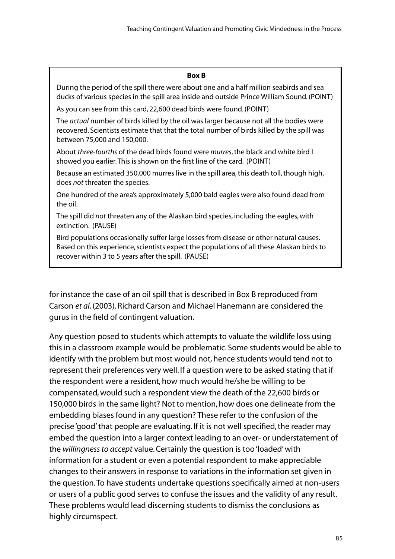#### **Box B**

During the period of the spill there were about one and a half million seabirds and sea ducks of various species in the spill area inside and outside Prince William Sound. (POINT)

As you can see from this card, 22,600 dead birds were found. (POINT)

The *actual* number of birds killed by the oil was larger because not all the bodies were recovered. Scientists estimate that that the total number of birds killed by the spill was between 75,000 and 150,000.

About *three-fourths* of the dead birds found were *murres*, the black and white bird I showed you earlier.This is shown on the first line of the card. (POINT)

Because an estimated 350,000 murres live in the spill area, this death toll, though high, does *not* threaten the species.

One hundred of the area's approximately 5,000 bald eagles were also found dead from the oil.

The spill did *not* threaten any of the Alaskan bird species, including the eagles, with extinction. (PAUSE)

Bird populations occasionally suffer large losses from disease or other natural causes. Based on this experience, scientists expect the populations of all these Alaskan birds to recover within 3 to 5 years after the spill. (PAUSE)

for instance the case of an oil spill that is described in Box B reproduced from Carson *et al*.(2003). Richard Carson and Michael Hanemann are considered the gurus in the field of contingent valuation.

Any question posed to students which attempts to valuate the wildlife loss using this in a classroom example would be problematic. Some students would be able to identify with the problem but most would not, hence students would tend not to represent their preferences very well. If a question were to be asked stating that if the respondent were a resident, how much would he/she be willing to be compensated, would such a respondent view the death of the 22,600 birds or 150,000 birds in the same light? Not to mention, how does one delineate from the embedding biases found in any question? These refer to the confusion of the precise 'good' that people are evaluating. If it is not well specified, the reader may embed the question into a larger context leading to an over- or understatement of the *willingness to accept* value. Certainly the question is too 'loaded' with information for a student or even a potential respondent to make appreciable changes to their answers in response to variations in the information set given in the question.To have students undertake questions specifically aimed at non-users or users of a public good serves to confuse the issues and the validity of any result. These problems would lead discerning students to dismiss the conclusions as highly circumspect.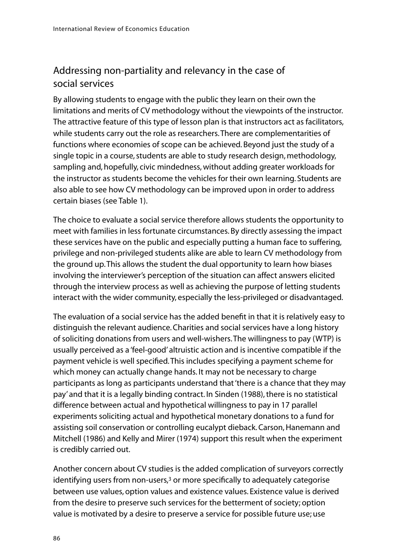# Addressing non-partiality and relevancy in the case of social services

By allowing students to engage with the public they learn on their own the limitations and merits of CV methodology without the viewpoints of the instructor. The attractive feature of this type of lesson plan is that instructors act as facilitators, while students carry out the role as researchers.There are complementarities of functions where economies of scope can be achieved. Beyond just the study of a single topic in a course, students are able to study research design, methodology, sampling and, hopefully, civic mindedness, without adding greater workloads for the instructor as students become the vehicles for their own learning. Students are also able to see how CV methodology can be improved upon in order to address certain biases (see Table 1).

The choice to evaluate a social service therefore allows students the opportunity to meet with families in less fortunate circumstances. By directly assessing the impact these services have on the public and especially putting a human face to suffering, privilege and non-privileged students alike are able to learn CV methodology from the ground up.This allows the student the dual opportunity to learn how biases involving the interviewer's perception of the situation can affect answers elicited through the interview process as well as achieving the purpose of letting students interact with the wider community, especially the less-privileged or disadvantaged.

The evaluation of a social service has the added benefit in that it is relatively easy to distinguish the relevant audience. Charities and social services have a long history of soliciting donations from users and well-wishers.The willingness to pay (WTP) is usually perceived as a 'feel-good' altruistic action and is incentive compatible if the payment vehicle is well specified.This includes specifying a payment scheme for which money can actually change hands. It may not be necessary to charge participants as long as participants understand that 'there is a chance that they may pay' and that it is a legally binding contract. In Sinden (1988), there is no statistical difference between actual and hypothetical willingness to pay in 17 parallel experiments soliciting actual and hypothetical monetary donations to a fund for assisting soil conservation or controlling eucalypt dieback. Carson, Hanemann and Mitchell (1986) and Kelly and Mirer (1974) support this result when the experiment is credibly carried out.

Another concern about CV studies is the added complication of surveyors correctly identifying users from non-users, $3$  or more specifically to adequately categorise between use values, option values and existence values. Existence value is derived from the desire to preserve such services for the betterment of society; option value is motivated by a desire to preserve a service for possible future use; use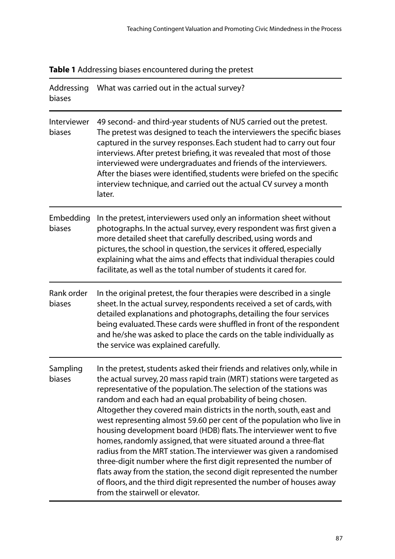| Addressing<br>biases  | What was carried out in the actual survey?                                                                                                                                                                                                                                                                                                                                                                                                                                                                                                                                                                                                                                                                                                                                                                                                                                                                          |  |  |  |  |  |
|-----------------------|---------------------------------------------------------------------------------------------------------------------------------------------------------------------------------------------------------------------------------------------------------------------------------------------------------------------------------------------------------------------------------------------------------------------------------------------------------------------------------------------------------------------------------------------------------------------------------------------------------------------------------------------------------------------------------------------------------------------------------------------------------------------------------------------------------------------------------------------------------------------------------------------------------------------|--|--|--|--|--|
| Interviewer<br>biases | 49 second- and third-year students of NUS carried out the pretest.<br>The pretest was designed to teach the interviewers the specific biases<br>captured in the survey responses. Each student had to carry out four<br>interviews. After pretest briefing, it was revealed that most of those<br>interviewed were undergraduates and friends of the interviewers.<br>After the biases were identified, students were briefed on the specific<br>interview technique, and carried out the actual CV survey a month<br>later.                                                                                                                                                                                                                                                                                                                                                                                        |  |  |  |  |  |
| Embedding<br>biases   | In the pretest, interviewers used only an information sheet without<br>photographs. In the actual survey, every respondent was first given a<br>more detailed sheet that carefully described, using words and<br>pictures, the school in question, the services it offered, especially<br>explaining what the aims and effects that individual therapies could<br>facilitate, as well as the total number of students it cared for.                                                                                                                                                                                                                                                                                                                                                                                                                                                                                 |  |  |  |  |  |
| Rank order<br>biases  | In the original pretest, the four therapies were described in a single<br>sheet. In the actual survey, respondents received a set of cards, with<br>detailed explanations and photographs, detailing the four services<br>being evaluated. These cards were shuffled in front of the respondent<br>and he/she was asked to place the cards on the table individually as<br>the service was explained carefully.                                                                                                                                                                                                                                                                                                                                                                                                                                                                                                     |  |  |  |  |  |
| Sampling<br>biases    | In the pretest, students asked their friends and relatives only, while in<br>the actual survey, 20 mass rapid train (MRT) stations were targeted as<br>representative of the population. The selection of the stations was<br>random and each had an equal probability of being chosen.<br>Altogether they covered main districts in the north, south, east and<br>west representing almost 59.60 per cent of the population who live in<br>housing development board (HDB) flats. The interviewer went to five<br>homes, randomly assigned, that were situated around a three-flat<br>radius from the MRT station. The interviewer was given a randomised<br>three-digit number where the first digit represented the number of<br>flats away from the station, the second digit represented the number<br>of floors, and the third digit represented the number of houses away<br>from the stairwell or elevator. |  |  |  |  |  |

**Table 1** Addressing biases encountered during the pretest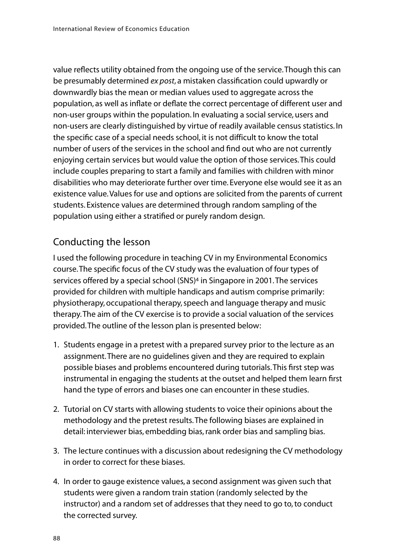value reflects utility obtained from the ongoing use of the service.Though this can be presumably determined *ex post*, a mistaken classification could upwardly or downwardly bias the mean or median values used to aggregate across the population, as well as inflate or deflate the correct percentage of different user and non-user groups within the population. In evaluating a social service, users and non-users are clearly distinguished by virtue of readily available census statistics. In the specific case of a special needs school, it is not difficult to know the total number of users of the services in the school and find out who are not currently enjoying certain services but would value the option of those services.This could include couples preparing to start a family and families with children with minor disabilities who may deteriorate further over time. Everyone else would see it as an existence value.Values for use and options are solicited from the parents of current students. Existence values are determined through random sampling of the population using either a stratified or purely random design.

# Conducting the lesson

I used the following procedure in teaching CV in my Environmental Economics course.The specific focus of the CV study was the evaluation of four types of services offered by a special school (SNS)4 in Singapore in 2001.The services provided for children with multiple handicaps and autism comprise primarily: physiotherapy, occupational therapy, speech and language therapy and music therapy.The aim of the CV exercise is to provide a social valuation of the services provided.The outline of the lesson plan is presented below:

- 1. Students engage in a pretest with a prepared survey prior to the lecture as an assignment.There are no guidelines given and they are required to explain possible biases and problems encountered during tutorials.This first step was instrumental in engaging the students at the outset and helped them learn first hand the type of errors and biases one can encounter in these studies.
- 2. Tutorial on CV starts with allowing students to voice their opinions about the methodology and the pretest results.The following biases are explained in detail: interviewer bias, embedding bias, rank order bias and sampling bias.
- 3. The lecture continues with a discussion about redesigning the CV methodology in order to correct for these biases.
- 4. In order to gauge existence values, a second assignment was given such that students were given a random train station (randomly selected by the instructor) and a random set of addresses that they need to go to, to conduct the corrected survey.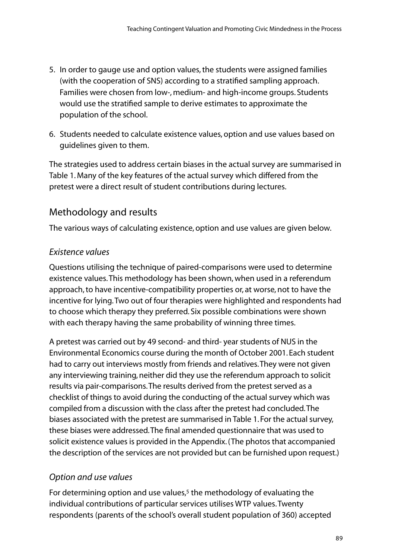- 5. In order to gauge use and option values, the students were assigned families (with the cooperation of SNS) according to a stratified sampling approach. Families were chosen from low-, medium- and high-income groups. Students would use the stratified sample to derive estimates to approximate the population of the school.
- 6. Students needed to calculate existence values, option and use values based on guidelines given to them.

The strategies used to address certain biases in the actual survey are summarised in Table 1. Many of the key features of the actual survey which differed from the pretest were a direct result of student contributions during lectures.

# Methodology and results

The various ways of calculating existence, option and use values are given below.

# *Existence values*

Questions utilising the technique of paired-comparisons were used to determine existence values.This methodology has been shown, when used in a referendum approach, to have incentive-compatibility properties or, at worse, not to have the incentive for lying.Two out of four therapies were highlighted and respondents had to choose which therapy they preferred. Six possible combinations were shown with each therapy having the same probability of winning three times.

A pretest was carried out by 49 second- and third- year students of NUS in the Environmental Economics course during the month of October 2001. Each student had to carry out interviews mostly from friends and relatives.They were not given any interviewing training, neither did they use the referendum approach to solicit results via pair-comparisons.The results derived from the pretest served as a checklist of things to avoid during the conducting of the actual survey which was compiled from a discussion with the class after the pretest had concluded.The biases associated with the pretest are summarised in Table 1. For the actual survey, these biases were addressed.The final amended questionnaire that was used to solicit existence values is provided in the Appendix. (The photos that accompanied the description of the services are not provided but can be furnished upon request.)

#### *Option and use values*

For determining option and use values,<sup>5</sup> the methodology of evaluating the individual contributions of particular services utilises WTP values.Twenty respondents (parents of the school's overall student population of 360) accepted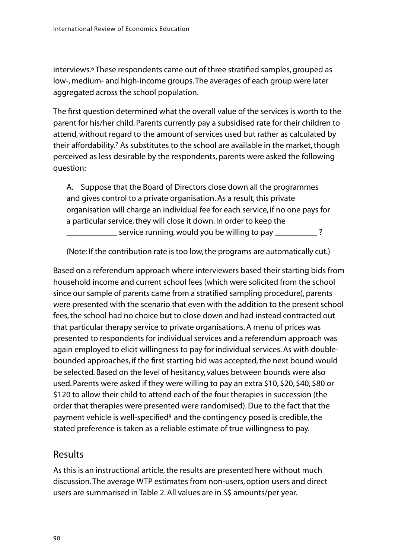interviews.6 These respondents came out of three stratified samples, grouped as low-, medium- and high-income groups.The averages of each group were later aggregated across the school population.

The first question determined what the overall value of the services is worth to the parent for his/her child. Parents currently pay a subsidised rate for their children to attend, without regard to the amount of services used but rather as calculated by their affordability.7 As substitutes to the school are available in the market, though perceived as less desirable by the respondents, parents were asked the following question:

A. Suppose that the Board of Directors close down all the programmes and gives control to a private organisation. As a result, this private organisation will charge an individual fee for each service, if no one pays for a particular service, they will close it down. In order to keep the service running, would you be willing to pay  $\sim$  ?

(Note: If the contribution rate is too low, the programs are automatically cut.)

Based on a referendum approach where interviewers based their starting bids from household income and current school fees (which were solicited from the school since our sample of parents came from a stratified sampling procedure), parents were presented with the scenario that even with the addition to the present school fees, the school had no choice but to close down and had instead contracted out that particular therapy service to private organisations. A menu of prices was presented to respondents for individual services and a referendum approach was again employed to elicit willingness to pay for individual services. As with doublebounded approaches, if the first starting bid was accepted, the next bound would be selected. Based on the level of hesitancy, values between bounds were also used. Parents were asked if they were willing to pay an extra \$10, \$20, \$40, \$80 or \$120 to allow their child to attend each of the four therapies in succession (the order that therapies were presented were randomised). Due to the fact that the payment vehicle is well-specified8 and the contingency posed is credible, the stated preference is taken as a reliable estimate of true willingness to pay.

#### Results

As this is an instructional article, the results are presented here without much discussion.The average WTP estimates from non-users, option users and direct users are summarised in Table 2. All values are in S\$ amounts/per year.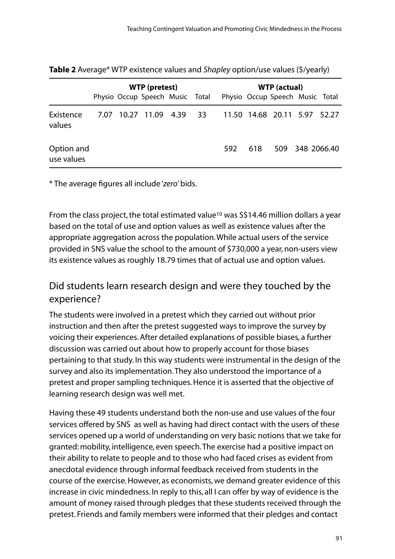|                          | WTP (pretest) |  |                                 |  | WTP (actual)                                          |     |                                 |  |                 |
|--------------------------|---------------|--|---------------------------------|--|-------------------------------------------------------|-----|---------------------------------|--|-----------------|
|                          |               |  | Physio Occup Speech Music Total |  |                                                       |     | Physio Occup Speech Music Total |  |                 |
| Existence<br>values      |               |  |                                 |  | 7.07 10.27 11.09 4.39 33 11.50 14.68 20.11 5.97 52.27 |     |                                 |  |                 |
| Option and<br>use values |               |  |                                 |  | 592.                                                  | 618 |                                 |  | 509 348 2066.40 |

**Table 2** Average\* WTP existence values and *Shapley* option/use values (\$/yearly)

\* The average figures all include '*zero*' bids.

From the class project, the total estimated value10 was S\$14.46 million dollars a year based on the total of use and option values as well as existence values after the appropriate aggregation across the population.While actual users of the service provided in SNS value the school to the amount of \$730,000 a year, non-users view its existence values as roughly 18.79 times that of actual use and option values.

# Did students learn research design and were they touched by the experience?

The students were involved in a pretest which they carried out without prior instruction and then after the pretest suggested ways to improve the survey by voicing their experiences. After detailed explanations of possible biases, a further discussion was carried out about how to properly account for those biases pertaining to that study. In this way students were instrumental in the design of the survey and also its implementation.They also understood the importance of a pretest and proper sampling techniques. Hence it is asserted that the objective of learning research design was well met.

Having these 49 students understand both the non-use and use values of the four services offered by SNS as well as having had direct contact with the users of these services opened up a world of understanding on very basic notions that we take for granted: mobility, intelligence, even speech.The exercise had a positive impact on their ability to relate to people and to those who had faced crises as evident from anecdotal evidence through informal feedback received from students in the course of the exercise. However, as economists, we demand greater evidence of this increase in civic mindedness. In reply to this, all I can offer by way of evidence is the amount of money raised through pledges that these students received through the pretest. Friends and family members were informed that their pledges and contact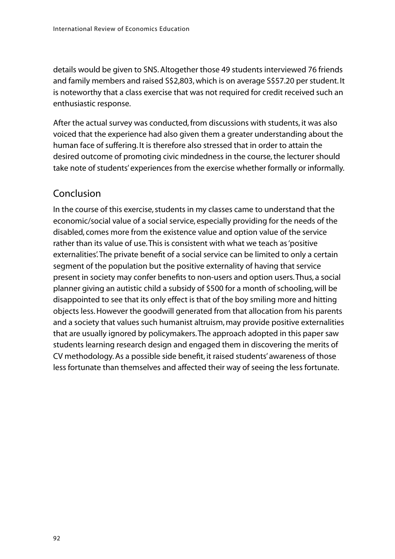details would be given to SNS. Altogether those 49 students interviewed 76 friends and family members and raised S\$2,803, which is on average S\$57.20 per student. It is noteworthy that a class exercise that was not required for credit received such an enthusiastic response.

After the actual survey was conducted, from discussions with students, it was also voiced that the experience had also given them a greater understanding about the human face of suffering. It is therefore also stressed that in order to attain the desired outcome of promoting civic mindedness in the course, the lecturer should take note of students' experiences from the exercise whether formally or informally.

### Conclusion

In the course of this exercise, students in my classes came to understand that the economic/social value of a social service, especially providing for the needs of the disabled, comes more from the existence value and option value of the service rather than its value of use.This is consistent with what we teach as 'positive externalities'.The private benefit of a social service can be limited to only a certain segment of the population but the positive externality of having that service present in society may confer benefits to non-users and option users.Thus, a social planner giving an autistic child a subsidy of \$500 for a month of schooling,will be disappointed to see that its only effect is that of the boy smiling more and hitting objects less. However the goodwill generated from that allocation from his parents and a society that values such humanist altruism, may provide positive externalities that are usually ignored by policymakers.The approach adopted in this paper saw students learning research design and engaged them in discovering the merits of CV methodology.As a possible side benefit, it raised students' awareness of those less fortunate than themselves and affected their way of seeing the less fortunate.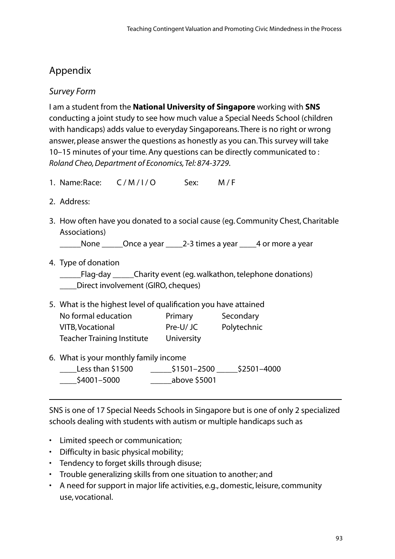# Appendix

#### *Survey Form*

I am a student from the **National University of Singapore** working with **SNS** conducting a joint study to see how much value a Special Needs School (children with handicaps) adds value to everyday Singaporeans.There is no right or wrong answer, please answer the questions as honestly as you can.This survey will take 10–15 minutes of your time. Any questions can be directly communicated to : *Roland Cheo, Department of Economics,Tel: 874-3729*.

- 1. Name:Race:  $C/M/I/O$  Sex: M/F
- 2. Address:
- 3. How often have you donated to a social cause (eg. Community Chest, Charitable Associations)

\_\_\_\_\_None \_\_\_\_\_Once a year \_\_\_\_2-3 times a year \_\_\_\_4 or more a year

4. Type of donation

\_\_\_\_\_Flag-day \_\_\_\_\_Charity event (eg. walkathon, telephone donations) \_\_\_\_Direct involvement (GIRO, cheques)

- 5. What is the highest level of qualification you have attained No formal education Primary Secondary VITB, Vocational Pre-U/ JC Polytechnic Teacher Training Institute University
- 6. What is your monthly family income

\_\_\_\_Less than \$1500 \_\_\_\_\_\$1501–2500 \_\_\_\_\_\$2501–4000 \_\_\_\_\$4001–5000 \_\_\_\_\_above \$5001

SNS is one of 17 Special Needs Schools in Singapore but is one of only 2 specialized schools dealing with students with autism or multiple handicaps such as

- Limited speech or communication;
- Difficulty in basic physical mobility;
- Tendency to forget skills through disuse;
- Trouble generalizing skills from one situation to another; and
- A need for support in major life activities, e.g., domestic, leisure, community use, vocational.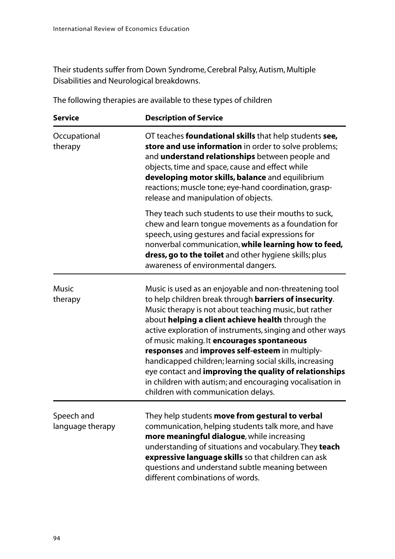Their students suffer from Down Syndrome, Cerebral Palsy, Autism, Multiple Disabilities and Neurological breakdowns.

| <b>Service</b>                 | <b>Description of Service</b>                                                                                                                                                                                                                                                                                                                                                                                                                                                                                                                                                                                         |  |  |  |
|--------------------------------|-----------------------------------------------------------------------------------------------------------------------------------------------------------------------------------------------------------------------------------------------------------------------------------------------------------------------------------------------------------------------------------------------------------------------------------------------------------------------------------------------------------------------------------------------------------------------------------------------------------------------|--|--|--|
| Occupational<br>therapy        | OT teaches <b>foundational skills</b> that help students see,<br>store and use information in order to solve problems;<br>and understand relationships between people and<br>objects, time and space, cause and effect while<br>developing motor skills, balance and equilibrium<br>reactions; muscle tone; eye-hand coordination, grasp-<br>release and manipulation of objects.                                                                                                                                                                                                                                     |  |  |  |
|                                | They teach such students to use their mouths to suck,<br>chew and learn tongue movements as a foundation for<br>speech, using gestures and facial expressions for<br>nonverbal communication, while learning how to feed,<br>dress, go to the toilet and other hygiene skills; plus<br>awareness of environmental dangers.                                                                                                                                                                                                                                                                                            |  |  |  |
| Music<br>therapy               | Music is used as an enjoyable and non-threatening tool<br>to help children break through barriers of insecurity.<br>Music therapy is not about teaching music, but rather<br>about helping a client achieve health through the<br>active exploration of instruments, singing and other ways<br>of music making. It encourages spontaneous<br>responses and improves self-esteem in multiply-<br>handicapped children; learning social skills, increasing<br>eye contact and improving the quality of relationships<br>in children with autism; and encouraging vocalisation in<br>children with communication delays. |  |  |  |
| Speech and<br>language therapy | They help students move from gestural to verbal<br>communication, helping students talk more, and have<br>more meaningful dialogue, while increasing<br>understanding of situations and vocabulary. They teach<br>expressive language skills so that children can ask<br>questions and understand subtle meaning between<br>different combinations of words.                                                                                                                                                                                                                                                          |  |  |  |

The following therapies are available to these types of children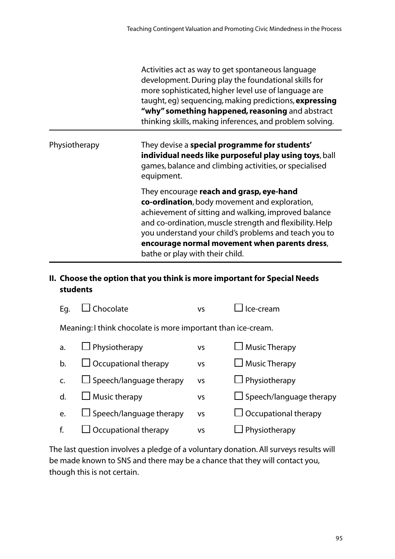|               | Activities act as way to get spontaneous language<br>development. During play the foundational skills for<br>more sophisticated, higher level use of language are<br>taught, eg) sequencing, making predictions, expressing<br>"why" something happened, reasoning and abstract<br>thinking skills, making inferences, and problem solving.                |  |  |  |
|---------------|------------------------------------------------------------------------------------------------------------------------------------------------------------------------------------------------------------------------------------------------------------------------------------------------------------------------------------------------------------|--|--|--|
| Physiotherapy | They devise a special programme for students'<br>individual needs like purposeful play using toys, ball<br>games, balance and climbing activities, or specialised<br>equipment.                                                                                                                                                                            |  |  |  |
|               | They encourage reach and grasp, eye-hand<br>co-ordination, body movement and exploration,<br>achievement of sitting and walking, improved balance<br>and co-ordination, muscle strength and flexibility. Help<br>you understand your child's problems and teach you to<br>encourage normal movement when parents dress,<br>bathe or play with their child. |  |  |  |

#### **II. Choose the option that you think is more important for Special Needs students**

| Eg.                                                          | Chocolate                      | VS | ce-cream                       |  |  |
|--------------------------------------------------------------|--------------------------------|----|--------------------------------|--|--|
| Meaning: I think chocolate is more important than ice-cream. |                                |    |                                |  |  |
| a.                                                           | $\Box$ Physiotherapy           | VS | $\Box$ Music Therapy           |  |  |
| b.                                                           | $\Box$ Occupational therapy    | VS | $\Box$ Music Therapy           |  |  |
|                                                              | $\Box$ Speech/language therapy | VS | $\Box$ Physiotherapy           |  |  |
| d.                                                           | $\Box$ Music therapy           | VS | $\Box$ Speech/language therapy |  |  |
| e.                                                           | $\Box$ Speech/language therapy | VS | $\Box$ Occupational therapy    |  |  |
|                                                              | Occupational therapy           | vs | Physiotherapy                  |  |  |
|                                                              |                                |    |                                |  |  |

 $\overline{\phantom{0}}$ 

The last question involves a pledge of a voluntary donation. All surveys results will be made known to SNS and there may be a chance that they will contact you, though this is not certain.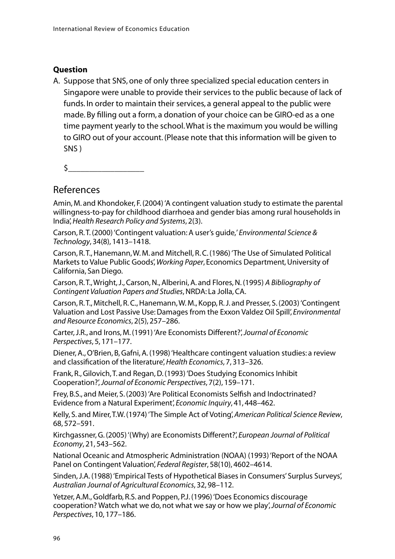#### **Question**

A. Suppose that SNS, one of only three specialized special education centers in Singapore were unable to provide their services to the public because of lack of funds. In order to maintain their services, a general appeal to the public were made. By filling out a form, a donation of your choice can be GIRO-ed as a one time payment yearly to the school.What is the maximum you would be willing to GIRO out of your account. (Please note that this information will be given to SNS )

 $\mathsf{\dot{S}}$ 

#### References

Amin, M. and Khondoker, F. (2004) 'A contingent valuation study to estimate the parental willingness-to-pay for childhood diarrhoea and gender bias among rural households in India',*Health Research Policy and Systems*, 2(3).

Carson, R.T. (2000) 'Contingent valuation: A user's guide,' *Environmental Science & Technology*, 34(8), 1413–1418.

Carson, R.T., Hanemann, W. M. and Mitchell, R. C. (1986) 'The Use of Simulated Political Markets to Value Public Goods', *Working Paper*, Economics Department, University of California, San Diego.

Carson, R.T., Wright, J., Carson, N., Alberini, A. and Flores, N. (1995) *A Bibliography of Contingent Valuation Papers and Studies*,NRDA: La Jolla,CA.

Carson, R.T., Mitchell, R. C., Hanemann, W. M., Kopp, R. J. and Presser, S. (2003) 'Contingent Valuation and Lost Passive Use: Damages from the Exxon Valdez Oil Spill', *Environmental and Resource Economics*, 2(5), 257–286.

Carter, J.R., and Irons, M. (1991) 'Are Economists Different?',*Journal of Economic Perspectives*, 5, 171–177.

Diener,A.,O'Brien, B, Gafni, A. (1998) 'Healthcare contingent valuation studies: a review and classification of the literature',*Health Economics*, 7, 313–326.

Frank, R.,Gilovich,T. and Regan, D. (1993) 'Does Studying Economics Inhibit Cooperation?',*Journal of Economic Perspectives*, 7(2), 159–171.

Frey, B.S., and Meier, S. (2003) 'Are Political Economists Selfish and Indoctrinated? Evidence from a Natural Experiment', *Economic Inquiry*, 41, 448–462.

Kelly, S. and Mirer,T.W. (1974) 'The Simple Act of Voting',*American Political Science Review*, 68, 572–591.

Kirchgassner,G.(2005) '(Why) are Economists Different?', *European Journal of Political Economy*, 21, 543–562.

National Oceanic and Atmospheric Administration (NOAA) (1993) 'Report of the NOAA Panel on Contingent Valuation', *Federal Register*, 58(10), 4602–4614.

Sinden, J.A. (1988) 'Empirical Tests of Hypothetical Biases in Consumers' Surplus Surveys', *Australian Journal of Agricultural Economics*, 32, 98–112.

Yetzer, A.M., Goldfarb, R.S. and Poppen, P.J. (1996) 'Does Economics discourage cooperation? Watch what we do, not what we say or how we play',*Journal of Economic Perspectives*, 10, 177–186.